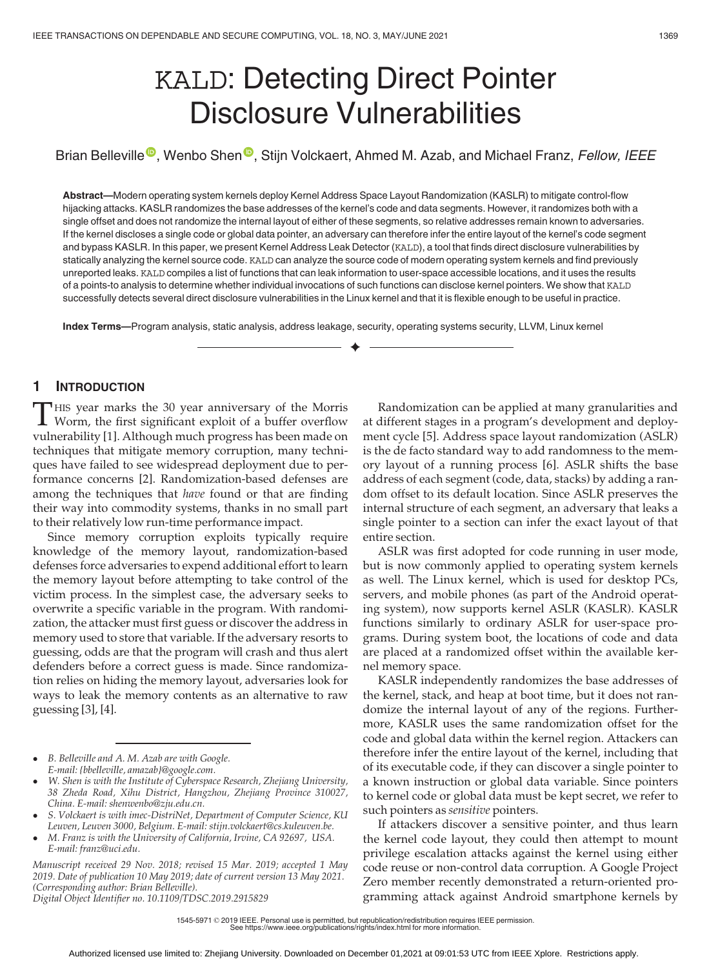# KALD: Detecting Direct Pointer Disclosure Vulnerabilities

Brian B[e](https://orcid.org/0000-0003-3269-1662)lleville<sup>®</sup>[,](https://orcid.org/0000-0003-3269-1662) Wenbo Shen<sup>®</sup>, Stijn Volckaert, Ahmed M. Azab, and Michael Franz, Fellow, IEEE

Abstract—Modern operating system kernels deploy Kernel Address Space Layout Randomization (KASLR) to mitigate control-flow hijacking attacks. KASLR randomizes the base addresses of the kernel's code and data segments. However, it randomizes both with a single offset and does not randomize the internal layout of either of these segments, so relative addresses remain known to adversaries. If the kernel discloses a single code or global data pointer, an adversary can therefore infer the entire layout of the kernel's code segment and bypass KASLR. In this paper, we present Kernel Address Leak Detector (KALD), a tool that finds direct disclosure vulnerabilities by statically analyzing the kernel source code. KALD can analyze the source code of modern operating system kernels and find previously unreported leaks. KALD compiles a list of functions that can leak information to user-space accessible locations, and it uses the results of a points-to analysis to determine whether individual invocations of such functions can disclose kernel pointers. We show that KALD successfully detects several direct disclosure vulnerabilities in the Linux kernel and that it is flexible enough to be useful in practice.

 $\blacklozenge$ 

Index Terms—Program analysis, static analysis, address leakage, security, operating systems security, LLVM, Linux kernel

## 1 INTRODUCTION

THIS year marks the 30 year anniversary of the Morris<br>Worm, the first significant exploit of a buffer overflow<br>webserships 111 Although much progress has been mode on vulnerability [1]. Although much progress has been made on techniques that mitigate memory corruption, many techniques have failed to see widespread deployment due to performance concerns [2]. Randomization-based defenses are among the techniques that have found or that are finding their way into commodity systems, thanks in no small part to their relatively low run-time performance impact.

Since memory corruption exploits typically require knowledge of the memory layout, randomization-based defenses force adversaries to expend additional effort to learn the memory layout before attempting to take control of the victim process. In the simplest case, the adversary seeks to overwrite a specific variable in the program. With randomization, the attacker must first guess or discover the address in memory used to store that variable. If the adversary resorts to guessing, odds are that the program will crash and thus alert defenders before a correct guess is made. Since randomization relies on hiding the memory layout, adversaries look for ways to leak the memory contents as an alternative to raw guessing [3], [4].

 B. Belleville and A. M. Azab are with Google. E-mail: [{bbelleville, amazab}@google.com.](mailto:)

- W. Shen is with the Institute of Cyberspace Research, Zhejiang University, 38 Zheda Road, Xihu District, Hangzhou, Zhejiang Province 310027, China. E-mail: [shenwenbo@zju.edu.cn](mailto:).
- S. Volckaert is with imec-DistriNet, Department of Computer Science, KU Leuven, Leuven 3000, Belgium. E-mail: [stijn.volckaert@cs.kuleuven.be](mailto:).
- M. Franz is with the University of California, Irvine, CA 92697, USA. E-mail: [franz@uci.edu.](mailto:)

Manuscript received 29 Nov. 2018; revised 15 Mar. 2019; accepted 1 May 2019. Date of publication 10 May 2019; date of current version 13 May 2021. (Corresponding author: Brian Belleville). Digital Object Identifier no. 10.1109/TDSC.2019.2915829

Randomization can be applied at many granularities and at different stages in a program's development and deployment cycle [5]. Address space layout randomization (ASLR) is the de facto standard way to add randomness to the memory layout of a running process [6]. ASLR shifts the base address of each segment (code, data, stacks) by adding a random offset to its default location. Since ASLR preserves the internal structure of each segment, an adversary that leaks a single pointer to a section can infer the exact layout of that entire section.

ASLR was first adopted for code running in user mode, but is now commonly applied to operating system kernels as well. The Linux kernel, which is used for desktop PCs, servers, and mobile phones (as part of the Android operating system), now supports kernel ASLR (KASLR). KASLR functions similarly to ordinary ASLR for user-space programs. During system boot, the locations of code and data are placed at a randomized offset within the available kernel memory space.

KASLR independently randomizes the base addresses of the kernel, stack, and heap at boot time, but it does not randomize the internal layout of any of the regions. Furthermore, KASLR uses the same randomization offset for the code and global data within the kernel region. Attackers can therefore infer the entire layout of the kernel, including that of its executable code, if they can discover a single pointer to a known instruction or global data variable. Since pointers to kernel code or global data must be kept secret, we refer to such pointers as sensitive pointers.

If attackers discover a sensitive pointer, and thus learn the kernel code layout, they could then attempt to mount privilege escalation attacks against the kernel using either code reuse or non-control data corruption. A Google Project Zero member recently demonstrated a return-oriented programming attack against Android smartphone kernels by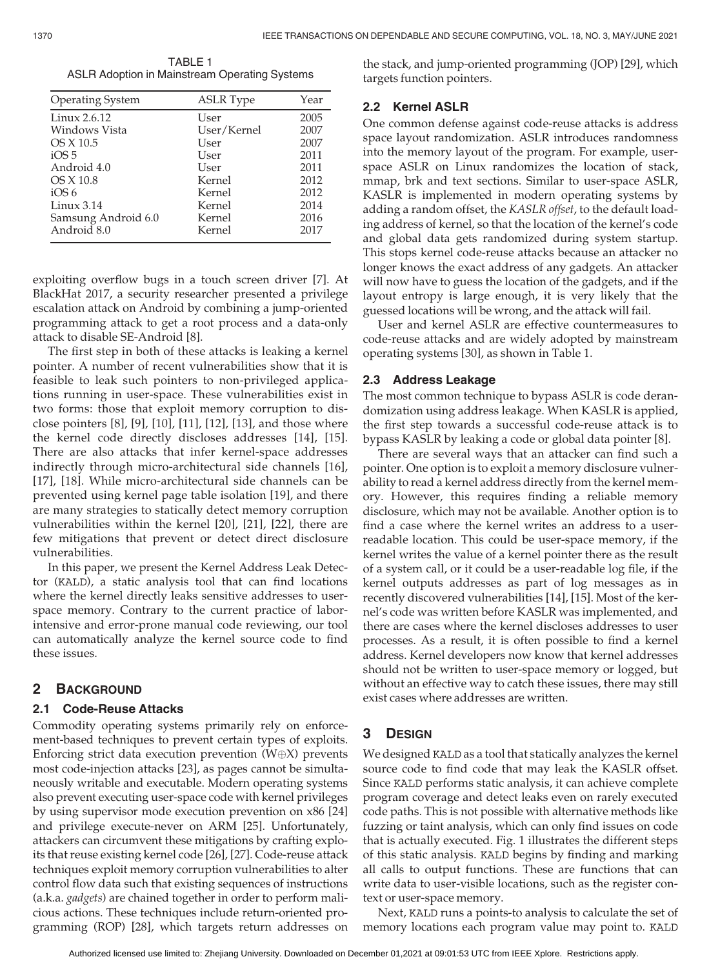TABLE 1 ASLR Adoption in Mainstream Operating Systems

| <b>Operating System</b> | <b>ASLR</b> Type | Year |
|-------------------------|------------------|------|
| Linux 2.6.12            | User             | 2005 |
| Windows Vista           | User/Kernel      | 2007 |
| OS X 10.5               | User             | 2007 |
| iOS <sub>5</sub>        | User             | 2011 |
| Android 4.0             | User             | 2011 |
| OS X 10.8               | Kernel           | 2012 |
| iOS <sub>6</sub>        | Kernel           | 2012 |
| Linux $3.14$            | Kernel           | 2014 |
| Samsung Android 6.0     | Kernel           | 2016 |
| Android 8.0             | Kernel           | 2017 |

exploiting overflow bugs in a touch screen driver [7]. At BlackHat 2017, a security researcher presented a privilege escalation attack on Android by combining a jump-oriented programming attack to get a root process and a data-only attack to disable SE-Android [8].

The first step in both of these attacks is leaking a kernel pointer. A number of recent vulnerabilities show that it is feasible to leak such pointers to non-privileged applications running in user-space. These vulnerabilities exist in two forms: those that exploit memory corruption to disclose pointers [8], [9], [10], [11], [12], [13], and those where the kernel code directly discloses addresses [14], [15]. There are also attacks that infer kernel-space addresses indirectly through micro-architectural side channels [16], [17], [18]. While micro-architectural side channels can be prevented using kernel page table isolation [19], and there are many strategies to statically detect memory corruption vulnerabilities within the kernel [20], [21], [22], there are few mitigations that prevent or detect direct disclosure vulnerabilities.

In this paper, we present the Kernel Address Leak Detector (KALD), a static analysis tool that can find locations where the kernel directly leaks sensitive addresses to userspace memory. Contrary to the current practice of laborintensive and error-prone manual code reviewing, our tool can automatically analyze the kernel source code to find these issues.

# 2 BACKGROUND

## 2.1 Code-Reuse Attacks

Commodity operating systems primarily rely on enforcement-based techniques to prevent certain types of exploits. Enforcing strict data execution prevention ( $W \oplus X$ ) prevents most code-injection attacks [23], as pages cannot be simultaneously writable and executable. Modern operating systems also prevent executing user-space code with kernel privileges by using supervisor mode execution prevention on x86 [24] and privilege execute-never on ARM [25]. Unfortunately, attackers can circumvent these mitigations by crafting exploits that reuse existing kernel code [26], [27]. Code-reuse attack techniques exploit memory corruption vulnerabilities to alter control flow data such that existing sequences of instructions (a.k.a. gadgets) are chained together in order to perform malicious actions. These techniques include return-oriented programming (ROP) [28], which targets return addresses on the stack, and jump-oriented programming (JOP) [29], which targets function pointers.

## 2.2 Kernel ASLR

One common defense against code-reuse attacks is address space layout randomization. ASLR introduces randomness into the memory layout of the program. For example, userspace ASLR on Linux randomizes the location of stack, mmap, brk and text sections. Similar to user-space ASLR, KASLR is implemented in modern operating systems by adding a random offset, the KASLR offset, to the default loading address of kernel, so that the location of the kernel's code and global data gets randomized during system startup. This stops kernel code-reuse attacks because an attacker no longer knows the exact address of any gadgets. An attacker will now have to guess the location of the gadgets, and if the layout entropy is large enough, it is very likely that the guessed locations will be wrong, and the attack will fail.

User and kernel ASLR are effective countermeasures to code-reuse attacks and are widely adopted by mainstream operating systems [30], as shown in Table 1.

## 2.3 Address Leakage

The most common technique to bypass ASLR is code derandomization using address leakage. When KASLR is applied, the first step towards a successful code-reuse attack is to bypass KASLR by leaking a code or global data pointer [8].

There are several ways that an attacker can find such a pointer. One option is to exploit a memory disclosure vulnerability to read a kernel address directly from the kernel memory. However, this requires finding a reliable memory disclosure, which may not be available. Another option is to find a case where the kernel writes an address to a userreadable location. This could be user-space memory, if the kernel writes the value of a kernel pointer there as the result of a system call, or it could be a user-readable log file, if the kernel outputs addresses as part of log messages as in recently discovered vulnerabilities [14], [15]. Most of the kernel's code was written before KASLR was implemented, and there are cases where the kernel discloses addresses to user processes. As a result, it is often possible to find a kernel address. Kernel developers now know that kernel addresses should not be written to user-space memory or logged, but without an effective way to catch these issues, there may still exist cases where addresses are written.

# 3 DESIGN

We designed KALD as a tool that statically analyzes the kernel source code to find code that may leak the KASLR offset. Since KALD performs static analysis, it can achieve complete program coverage and detect leaks even on rarely executed code paths. This is not possible with alternative methods like fuzzing or taint analysis, which can only find issues on code that is actually executed. Fig. 1 illustrates the different steps of this static analysis. KALD begins by finding and marking all calls to output functions. These are functions that can write data to user-visible locations, such as the register context or user-space memory.

Next, KALD runs a points-to analysis to calculate the set of memory locations each program value may point to. KALD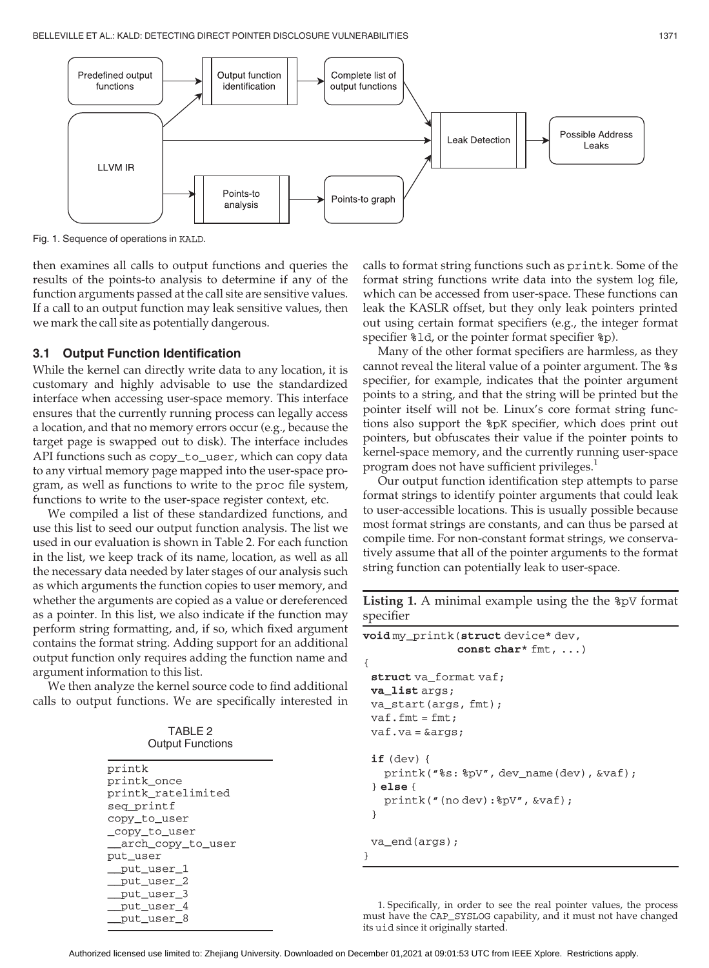

Fig. 1. Sequence of operations in KALD.

then examines all calls to output functions and queries the results of the points-to analysis to determine if any of the function arguments passed at the call site are sensitive values. If a call to an output function may leak sensitive values, then we mark the call site as potentially dangerous.

## 3.1 Output Function Identification

While the kernel can directly write data to any location, it is customary and highly advisable to use the standardized interface when accessing user-space memory. This interface ensures that the currently running process can legally access a location, and that no memory errors occur (e.g., because the target page is swapped out to disk). The interface includes API functions such as copy\_to\_user, which can copy data to any virtual memory page mapped into the user-space program, as well as functions to write to the proc file system, functions to write to the user-space register context, etc.

We compiled a list of these standardized functions, and use this list to seed our output function analysis. The list we used in our evaluation is shown in Table 2. For each function in the list, we keep track of its name, location, as well as all the necessary data needed by later stages of our analysis such as which arguments the function copies to user memory, and whether the arguments are copied as a value or dereferenced as a pointer. In this list, we also indicate if the function may perform string formatting, and, if so, which fixed argument contains the format string. Adding support for an additional output function only requires adding the function name and argument information to this list.

We then analyze the kernel source code to find additional calls to output functions. We are specifically interested in

TABLE 2 Output Functions

| printk             |
|--------------------|
| printk once        |
| printk ratelimited |
| seg printf         |
| copy_to_user       |
| _copy_to_user      |
| arch_copy_to_user  |
| put user           |
| put user 1         |
| put user 2         |
| put user 3         |
| put user 4         |
| put_user 8         |
|                    |

calls to format string functions such as printk. Some of the format string functions write data into the system log file, which can be accessed from user-space. These functions can leak the KASLR offset, but they only leak pointers printed out using certain format specifiers (e.g., the integer format specifier %ld, or the pointer format specifier %p).

Many of the other format specifiers are harmless, as they cannot reveal the literal value of a pointer argument. The %s specifier, for example, indicates that the pointer argument points to a string, and that the string will be printed but the pointer itself will not be. Linux's core format string functions also support the %pK specifier, which does print out pointers, but obfuscates their value if the pointer points to kernel-space memory, and the currently running user-space program does not have sufficient privileges.<sup>1</sup>

Our output function identification step attempts to parse format strings to identify pointer arguments that could leak to user-accessible locations. This is usually possible because most format strings are constants, and can thus be parsed at compile time. For non-constant format strings, we conservatively assume that all of the pointer arguments to the format string function can potentially leak to user-space.

Listing 1. A minimal example using the the %pV format specifier

```
void my_printk(struct device* dev,
               const char* fmt, ...)
{
 struct va_format vaf;
 va_list args;
 va_start(args, fmt);
 vaf.fmt = fmt;vaf.va = &args;
 if (dev) {
   printk("%s: %pV", dev_name(dev), &vaf);
 } else {
   printk("(no dev):%pV", &vaf);
 }
 va_end(args);
}
```
1. Specifically, in order to see the real pointer values, the process must have the CAP\_SYSLOG capability, and it must not have changed its uid since it originally started.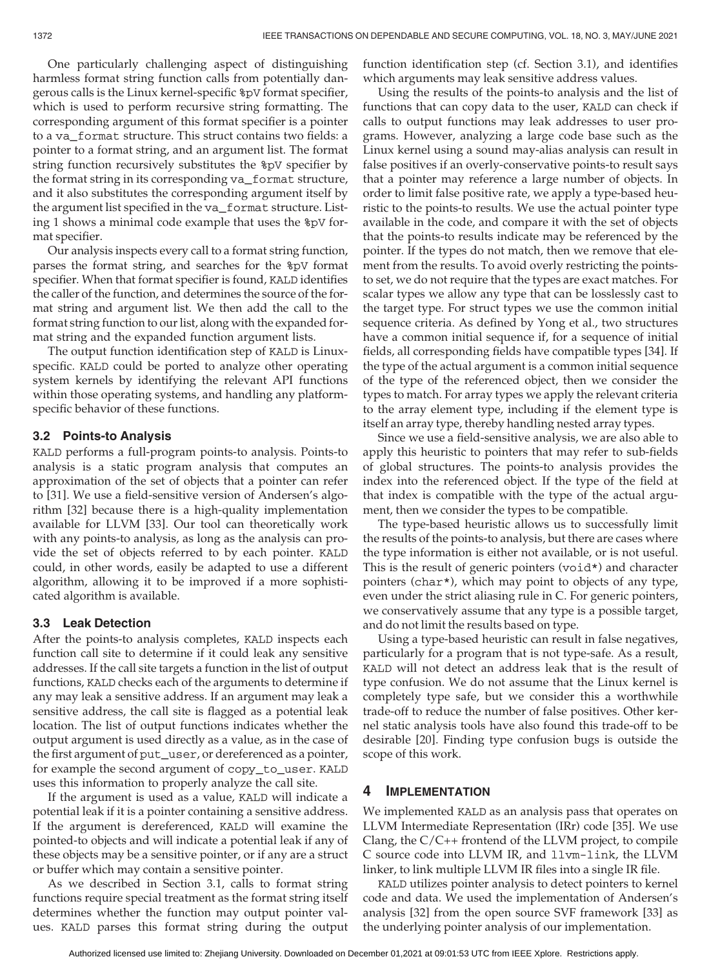One particularly challenging aspect of distinguishing harmless format string function calls from potentially dangerous calls is the Linux kernel-specific %pV format specifier, which is used to perform recursive string formatting. The corresponding argument of this format specifier is a pointer to a va\_format structure. This struct contains two fields: a pointer to a format string, and an argument list. The format string function recursively substitutes the %pV specifier by the format string in its corresponding va\_format structure, and it also substitutes the corresponding argument itself by the argument list specified in the va\_format structure. Listing 1 shows a minimal code example that uses the %pV format specifier.

Our analysis inspects every call to a format string function, parses the format string, and searches for the %pV format specifier. When that format specifier is found, KALD identifies the caller of the function, and determines the source of the format string and argument list. We then add the call to the format string function to our list, along with the expanded format string and the expanded function argument lists.

The output function identification step of KALD is Linuxspecific. KALD could be ported to analyze other operating system kernels by identifying the relevant API functions within those operating systems, and handling any platformspecific behavior of these functions.

## 3.2 Points-to Analysis

KALD performs a full-program points-to analysis. Points-to analysis is a static program analysis that computes an approximation of the set of objects that a pointer can refer to [31]. We use a field-sensitive version of Andersen's algorithm [32] because there is a high-quality implementation available for LLVM [33]. Our tool can theoretically work with any points-to analysis, as long as the analysis can provide the set of objects referred to by each pointer. KALD could, in other words, easily be adapted to use a different algorithm, allowing it to be improved if a more sophisticated algorithm is available.

## 3.3 Leak Detection

After the points-to analysis completes, KALD inspects each function call site to determine if it could leak any sensitive addresses. If the call site targets a function in the list of output functions, KALD checks each of the arguments to determine if any may leak a sensitive address. If an argument may leak a sensitive address, the call site is flagged as a potential leak location. The list of output functions indicates whether the output argument is used directly as a value, as in the case of the first argument of put\_user, or dereferenced as a pointer, for example the second argument of copy\_to\_user. KALD uses this information to properly analyze the call site.

If the argument is used as a value, KALD will indicate a potential leak if it is a pointer containing a sensitive address. If the argument is dereferenced, KALD will examine the pointed-to objects and will indicate a potential leak if any of these objects may be a sensitive pointer, or if any are a struct or buffer which may contain a sensitive pointer.

As we described in Section 3.1, calls to format string functions require special treatment as the format string itself determines whether the function may output pointer values. KALD parses this format string during the output function identification step (cf. Section 3.1), and identifies which arguments may leak sensitive address values.

Using the results of the points-to analysis and the list of functions that can copy data to the user, KALD can check if calls to output functions may leak addresses to user programs. However, analyzing a large code base such as the Linux kernel using a sound may-alias analysis can result in false positives if an overly-conservative points-to result says that a pointer may reference a large number of objects. In order to limit false positive rate, we apply a type-based heuristic to the points-to results. We use the actual pointer type available in the code, and compare it with the set of objects that the points-to results indicate may be referenced by the pointer. If the types do not match, then we remove that element from the results. To avoid overly restricting the pointsto set, we do not require that the types are exact matches. For scalar types we allow any type that can be losslessly cast to the target type. For struct types we use the common initial sequence criteria. As defined by Yong et al., two structures have a common initial sequence if, for a sequence of initial fields, all corresponding fields have compatible types [34]. If the type of the actual argument is a common initial sequence of the type of the referenced object, then we consider the types to match. For array types we apply the relevant criteria to the array element type, including if the element type is itself an array type, thereby handling nested array types.

Since we use a field-sensitive analysis, we are also able to apply this heuristic to pointers that may refer to sub-fields of global structures. The points-to analysis provides the index into the referenced object. If the type of the field at that index is compatible with the type of the actual argument, then we consider the types to be compatible.

The type-based heuristic allows us to successfully limit the results of the points-to analysis, but there are cases where the type information is either not available, or is not useful. This is the result of generic pointers ( $void*$ ) and character pointers (char\*), which may point to objects of any type, even under the strict aliasing rule in C. For generic pointers, we conservatively assume that any type is a possible target, and do not limit the results based on type.

Using a type-based heuristic can result in false negatives, particularly for a program that is not type-safe. As a result, KALD will not detect an address leak that is the result of type confusion. We do not assume that the Linux kernel is completely type safe, but we consider this a worthwhile trade-off to reduce the number of false positives. Other kernel static analysis tools have also found this trade-off to be desirable [20]. Finding type confusion bugs is outside the scope of this work.

## 4 IMPLEMENTATION

We implemented KALD as an analysis pass that operates on LLVM Intermediate Representation (IRr) code [35]. We use Clang, the C/C++ frontend of the LLVM project, to compile C source code into LLVM IR, and llvm-link, the LLVM linker, to link multiple LLVM IR files into a single IR file.

KALD utilizes pointer analysis to detect pointers to kernel code and data. We used the implementation of Andersen's analysis [32] from the open source SVF framework [33] as the underlying pointer analysis of our implementation.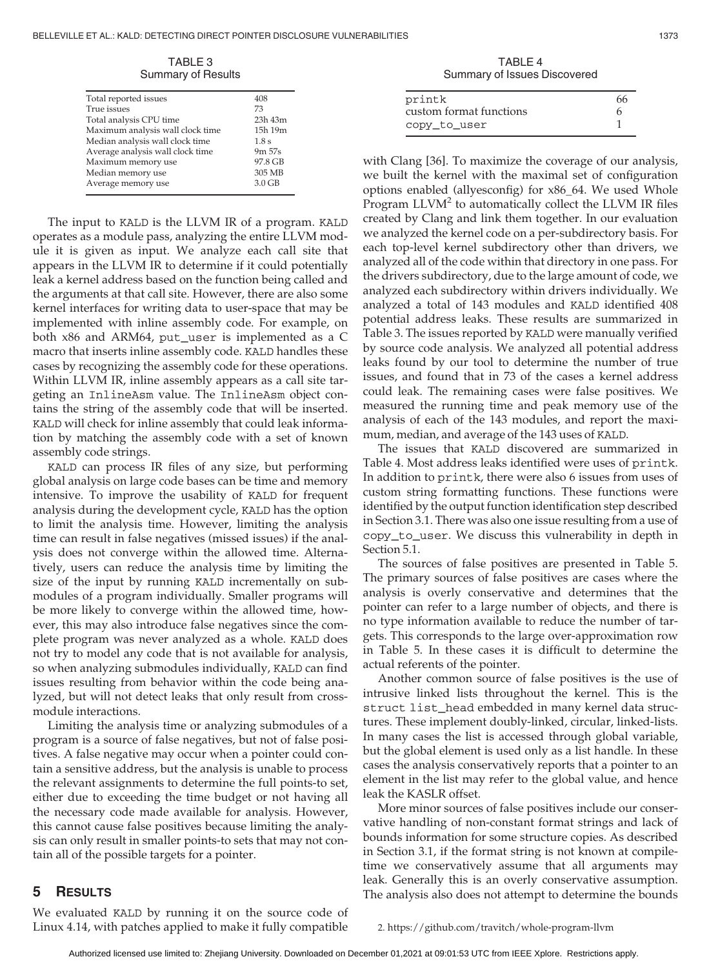TABLE 3 Summary of Results

| Total reported issues            | 408          |
|----------------------------------|--------------|
| True issues                      | 73           |
| Total analysis CPU time          | $23h$ 43 $m$ |
| Maximum analysis wall clock time | 15h 19m      |
| Median analysis wall clock time  | 1.8s         |
| Average analysis wall clock time | 9m 57s       |
| Maximum memory use               | 97.8 GB      |
| Median memory use                | 305 MB       |
| Average memory use               | $3.0$ GB     |
|                                  |              |

The input to KALD is the LLVM IR of a program. KALD operates as a module pass, analyzing the entire LLVM module it is given as input. We analyze each call site that appears in the LLVM IR to determine if it could potentially leak a kernel address based on the function being called and the arguments at that call site. However, there are also some kernel interfaces for writing data to user-space that may be implemented with inline assembly code. For example, on both x86 and ARM64, put\_user is implemented as a C macro that inserts inline assembly code. KALD handles these cases by recognizing the assembly code for these operations. Within LLVM IR, inline assembly appears as a call site targeting an InlineAsm value. The InlineAsm object contains the string of the assembly code that will be inserted. KALD will check for inline assembly that could leak information by matching the assembly code with a set of known assembly code strings.

KALD can process IR files of any size, but performing global analysis on large code bases can be time and memory intensive. To improve the usability of KALD for frequent analysis during the development cycle, KALD has the option to limit the analysis time. However, limiting the analysis time can result in false negatives (missed issues) if the analysis does not converge within the allowed time. Alternatively, users can reduce the analysis time by limiting the size of the input by running KALD incrementally on submodules of a program individually. Smaller programs will be more likely to converge within the allowed time, however, this may also introduce false negatives since the complete program was never analyzed as a whole. KALD does not try to model any code that is not available for analysis, so when analyzing submodules individually, KALD can find issues resulting from behavior within the code being analyzed, but will not detect leaks that only result from crossmodule interactions.

Limiting the analysis time or analyzing submodules of a program is a source of false negatives, but not of false positives. A false negative may occur when a pointer could contain a sensitive address, but the analysis is unable to process the relevant assignments to determine the full points-to set, either due to exceeding the time budget or not having all the necessary code made available for analysis. However, this cannot cause false positives because limiting the analysis can only result in smaller points-to sets that may not contain all of the possible targets for a pointer.

TABLE 4 Summary of Issues Discovered

| printk                  |  |
|-------------------------|--|
| custom format functions |  |
| copy_to_user            |  |

with Clang [36]. To maximize the coverage of our analysis, we built the kernel with the maximal set of configuration options enabled (allyesconfig) for x86\_64. We used Whole Program  $LLVM<sup>2</sup>$  to automatically collect the  $LLVM$  IR files created by Clang and link them together. In our evaluation we analyzed the kernel code on a per-subdirectory basis. For each top-level kernel subdirectory other than drivers, we analyzed all of the code within that directory in one pass. For the drivers subdirectory, due to the large amount of code, we analyzed each subdirectory within drivers individually. We analyzed a total of 143 modules and KALD identified 408 potential address leaks. These results are summarized in Table 3. The issues reported by KALD were manually verified by source code analysis. We analyzed all potential address leaks found by our tool to determine the number of true issues, and found that in 73 of the cases a kernel address could leak. The remaining cases were false positives. We measured the running time and peak memory use of the analysis of each of the 143 modules, and report the maximum, median, and average of the 143 uses of KALD.

The issues that KALD discovered are summarized in Table 4. Most address leaks identified were uses of printk. In addition to printk, there were also 6 issues from uses of custom string formatting functions. These functions were identified by the output function identification step described in Section 3.1. There was also one issue resulting from a use of copy\_to\_user. We discuss this vulnerability in depth in Section 5.1.

The sources of false positives are presented in Table 5. The primary sources of false positives are cases where the analysis is overly conservative and determines that the pointer can refer to a large number of objects, and there is no type information available to reduce the number of targets. This corresponds to the large over-approximation row in Table 5. In these cases it is difficult to determine the actual referents of the pointer.

Another common source of false positives is the use of intrusive linked lists throughout the kernel. This is the struct list\_head embedded in many kernel data structures. These implement doubly-linked, circular, linked-lists. In many cases the list is accessed through global variable, but the global element is used only as a list handle. In these cases the analysis conservatively reports that a pointer to an element in the list may refer to the global value, and hence leak the KASLR offset.

More minor sources of false positives include our conservative handling of non-constant format strings and lack of bounds information for some structure copies. As described in Section 3.1, if the format string is not known at compiletime we conservatively assume that all arguments may leak. Generally this is an overly conservative assumption. The analysis also does not attempt to determine the bounds

# 5 RESULTS

We evaluated KALD by running it on the source code of Linux 4.14, with patches applied to make it fully compatible

2. https://github.com/travitch/whole-program-llvm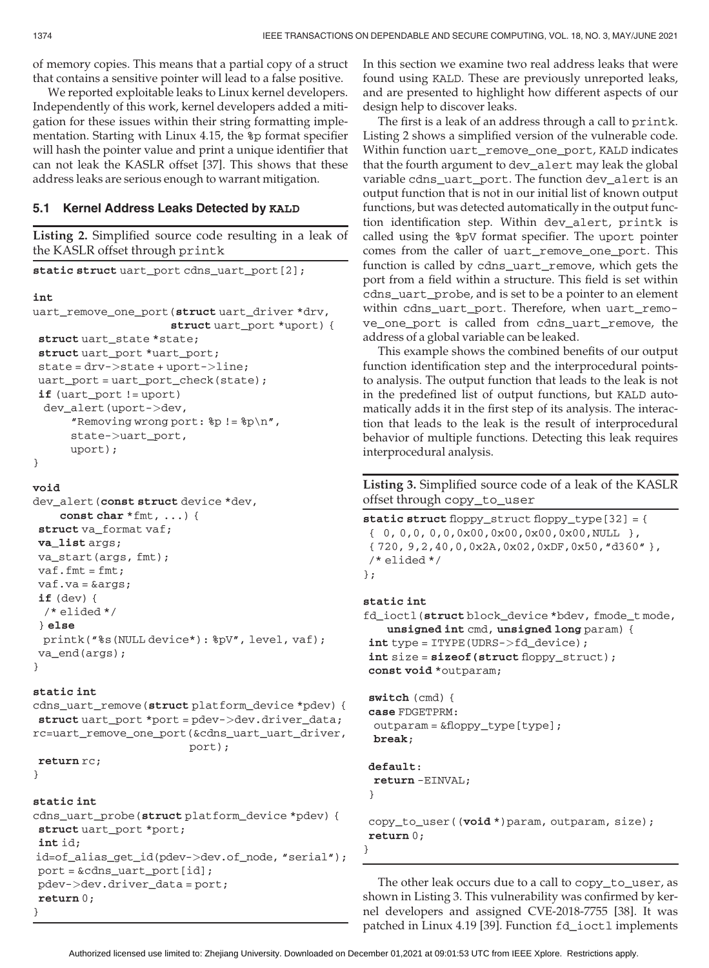of memory copies. This means that a partial copy of a struct that contains a sensitive pointer will lead to a false positive.

We reported exploitable leaks to Linux kernel developers. Independently of this work, kernel developers added a mitigation for these issues within their string formatting implementation. Starting with Linux 4.15, the %p format specifier will hash the pointer value and print a unique identifier that can not leak the KASLR offset [37]. This shows that these address leaks are serious enough to warrant mitigation.

### 5.1 Kernel Address Leaks Detected by KALD

```
Listing 2. Simplified source code resulting in a leak of
the KASLR offset through printk
static struct uart_port cdns_uart_port[2];
int
uart_remove_one_port(struct uart_driver *drv,
                      struct uart_port *uport) {
struct uart_state *state;
struct uart_port *uart_port;
state = drv->state + uport->line;
uart port = uart port check(state);
if (uart_port != uport)
 dev_alert(uport->dev,
      "Removing wrong port: p! = \p p \n n",
      state->uart_port,
      uport);
}
```

```
void
```

```
dev_alert(const struct device *dev,
    const char *fmt, ...) {
struct va format vaf;
va_list args;
va_start(args, fmt);
vaf.fmt = fmt;vaf.va = &args;
if (dev) {
 /* elided */
} else
 printk("%s(NULL device*): %pV", level, vaf);
va_end(args);
}
```
#### static int

cdns\_uart\_remove(struct platform\_device \*pdev) { struct uart\_port \*port = pdev->dev.driver\_data; rc=uart\_remove\_one\_port(&cdns\_uart\_uart\_driver, port);

```
return rc;
```

```
}
```
#### static int

```
cdns_uart_probe(struct platform_device *pdev) {
struct uart_port *port;
int id;
id=of_alias_get_id(pdev->dev.of_node, "serial");
port = &cdns_uart_port[id];
pdev->dev.driver_data = port;
return 0;
}
```
In this section we examine two real address leaks that were found using KALD. These are previously unreported leaks, and are presented to highlight how different aspects of our design help to discover leaks.

The first is a leak of an address through a call to printk. Listing 2 shows a simplified version of the vulnerable code. Within function uart\_remove\_one\_port, KALD indicates that the fourth argument to dev\_alert may leak the global variable cdns\_uart\_port. The function dev\_alert is an output function that is not in our initial list of known output functions, but was detected automatically in the output function identification step. Within dev\_alert, printk is called using the %pV format specifier. The uport pointer comes from the caller of uart\_remove\_one\_port. This function is called by cdns\_uart\_remove, which gets the port from a field within a structure. This field is set within cdns\_uart\_probe, and is set to be a pointer to an element within cdns\_uart\_port. Therefore, when uart\_remove\_one\_port is called from cdns\_uart\_remove, the address of a global variable can be leaked.

This example shows the combined benefits of our output function identification step and the interprocedural pointsto analysis. The output function that leads to the leak is not in the predefined list of output functions, but KALD automatically adds it in the first step of its analysis. The interaction that leads to the leak is the result of interprocedural behavior of multiple functions. Detecting this leak requires interprocedural analysis.

Listing 3. Simplified source code of a leak of the KASLR offset through copy\_to\_user

static struct floppy\_struct floppy\_type[32] = { { 0, 0,0, 0,0,0x00,0x00,0x00,0x00,NULL }, { 720, 9,2,40,0,0x2A,0x02,0xDF,0x50,"d360" }, /\* elided \*/ };

#### static int

```
fd_ioctl(struct block_device *bdev, fmode_t mode,
   unsigned int cmd, unsigned long param) {
int type = ITYPE(UDRS->fd_device);
int size = sizeof(struct floppy_struct);
const void *outparam;
```

```
switch (cmd) {
case FDGETPRM:
outparam = &floppy_type[type];
break;
```
#### default: return -EINVAL;

```
}
```
copy\_to\_user((void \*)param, outparam, size); return 0;

The other leak occurs due to a call to copy\_to\_user, as shown in Listing 3. This vulnerability was confirmed by kernel developers and assigned CVE-2018-7755 [38]. It was patched in Linux 4.19 [39]. Function fd\_ioctl implements

}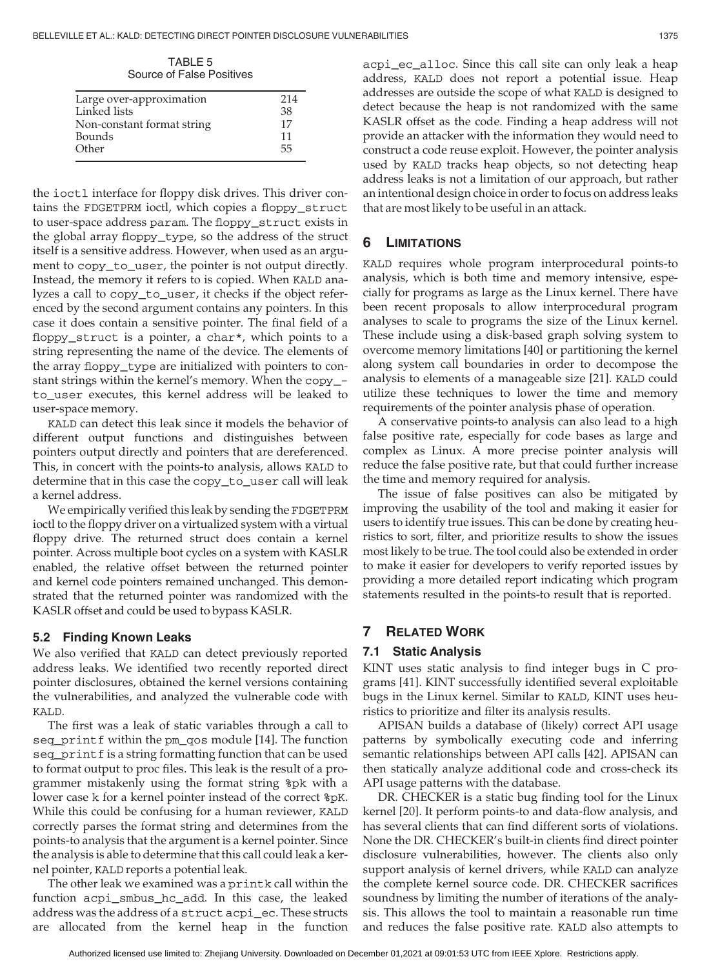TABLE 5 Source of False Positives

| Large over-approximation   | 214 |
|----------------------------|-----|
| Linked lists               | 38  |
| Non-constant format string | 17  |
| <b>Bounds</b>              | 11  |
| Other                      | 55  |
|                            |     |

the ioctl interface for floppy disk drives. This driver contains the FDGETPRM ioctl, which copies a floppy\_struct to user-space address param. The floppy\_struct exists in the global array floppy\_type, so the address of the struct itself is a sensitive address. However, when used as an argument to copy\_to\_user, the pointer is not output directly. Instead, the memory it refers to is copied. When KALD analyzes a call to copy\_to\_user, it checks if the object referenced by the second argument contains any pointers. In this case it does contain a sensitive pointer. The final field of a floppy\_struct is a pointer, a char\*, which points to a string representing the name of the device. The elements of the array floppy\_type are initialized with pointers to constant strings within the kernel's memory. When the copy\_ to\_user executes, this kernel address will be leaked to user-space memory.

KALD can detect this leak since it models the behavior of different output functions and distinguishes between pointers output directly and pointers that are dereferenced. This, in concert with the points-to analysis, allows KALD to determine that in this case the copy\_to\_user call will leak a kernel address.

We empirically verified this leak by sending the FDGETPRM ioctl to the floppy driver on a virtualized system with a virtual floppy drive. The returned struct does contain a kernel pointer. Across multiple boot cycles on a system with KASLR enabled, the relative offset between the returned pointer and kernel code pointers remained unchanged. This demonstrated that the returned pointer was randomized with the KASLR offset and could be used to bypass KASLR.

# 5.2 Finding Known Leaks

We also verified that KALD can detect previously reported address leaks. We identified two recently reported direct pointer disclosures, obtained the kernel versions containing the vulnerabilities, and analyzed the vulnerable code with KALD.

The first was a leak of static variables through a call to seq\_printf within the pm\_qos module [14]. The function seq\_printf is a string formatting function that can be used to format output to proc files. This leak is the result of a programmer mistakenly using the format string %pk with a lower case k for a kernel pointer instead of the correct %pK. While this could be confusing for a human reviewer, KALD correctly parses the format string and determines from the points-to analysis that the argument is a kernel pointer. Since the analysis is able to determine that this call could leak a kernel pointer, KALD reports a potential leak.

The other leak we examined was a printk call within the function acpi\_smbus\_hc\_add. In this case, the leaked address was the address of a struct acpi\_ec. These structs are allocated from the kernel heap in the function acpi\_ec\_alloc. Since this call site can only leak a heap address, KALD does not report a potential issue. Heap addresses are outside the scope of what KALD is designed to detect because the heap is not randomized with the same KASLR offset as the code. Finding a heap address will not provide an attacker with the information they would need to construct a code reuse exploit. However, the pointer analysis used by KALD tracks heap objects, so not detecting heap address leaks is not a limitation of our approach, but rather an intentional design choice in order to focus on address leaks that are most likely to be useful in an attack.

# 6 LIMITATIONS

KALD requires whole program interprocedural points-to analysis, which is both time and memory intensive, especially for programs as large as the Linux kernel. There have been recent proposals to allow interprocedural program analyses to scale to programs the size of the Linux kernel. These include using a disk-based graph solving system to overcome memory limitations [40] or partitioning the kernel along system call boundaries in order to decompose the analysis to elements of a manageable size [21]. KALD could utilize these techniques to lower the time and memory requirements of the pointer analysis phase of operation.

A conservative points-to analysis can also lead to a high false positive rate, especially for code bases as large and complex as Linux. A more precise pointer analysis will reduce the false positive rate, but that could further increase the time and memory required for analysis.

The issue of false positives can also be mitigated by improving the usability of the tool and making it easier for users to identify true issues. This can be done by creating heuristics to sort, filter, and prioritize results to show the issues most likely to be true. The tool could also be extended in order to make it easier for developers to verify reported issues by providing a more detailed report indicating which program statements resulted in the points-to result that is reported.

# 7 RELATED WORK

# 7.1 Static Analysis

KINT uses static analysis to find integer bugs in C programs [41]. KINT successfully identified several exploitable bugs in the Linux kernel. Similar to KALD, KINT uses heuristics to prioritize and filter its analysis results.

APISAN builds a database of (likely) correct API usage patterns by symbolically executing code and inferring semantic relationships between API calls [42]. APISAN can then statically analyze additional code and cross-check its API usage patterns with the database.

DR. CHECKER is a static bug finding tool for the Linux kernel [20]. It perform points-to and data-flow analysis, and has several clients that can find different sorts of violations. None the DR. CHECKER's built-in clients find direct pointer disclosure vulnerabilities, however. The clients also only support analysis of kernel drivers, while KALD can analyze the complete kernel source code. DR. CHECKER sacrifices soundness by limiting the number of iterations of the analysis. This allows the tool to maintain a reasonable run time and reduces the false positive rate. KALD also attempts to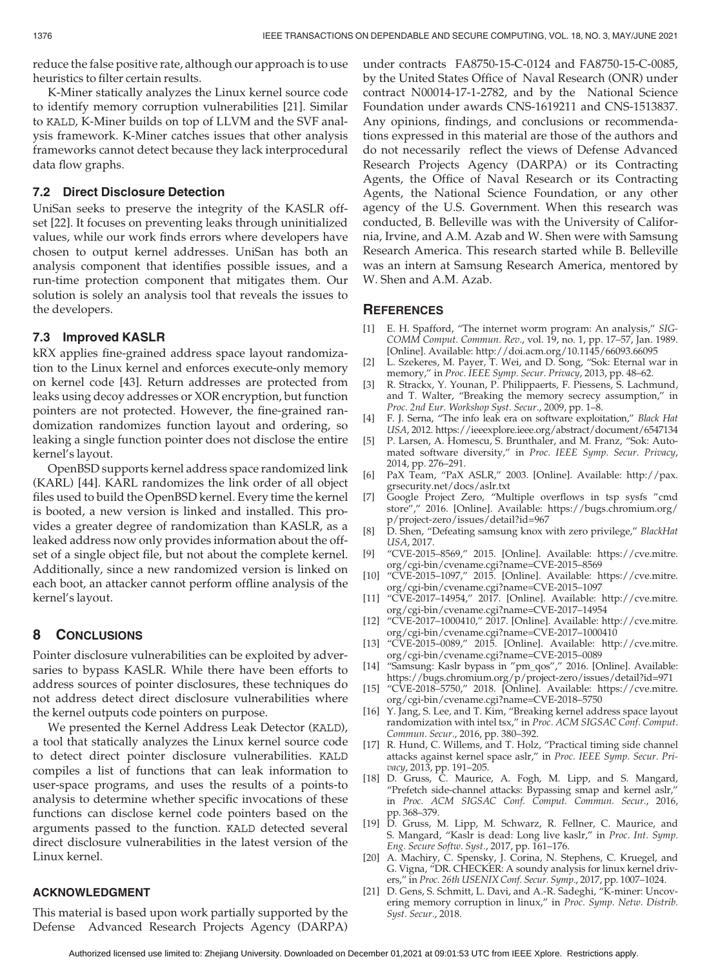reduce the false positive rate, although our approach is to use heuristics to filter certain results.

K-Miner statically analyzes the Linux kernel source code to identify memory corruption vulnerabilities [21]. Similar to KALD, K-Miner builds on top of LLVM and the SVF analysis framework. K-Miner catches issues that other analysis frameworks cannot detect because they lack interprocedural data flow graphs.

# 7.2 Direct Disclosure Detection

UniSan seeks to preserve the integrity of the KASLR offset [22]. It focuses on preventing leaks through uninitialized values, while our work finds errors where developers have chosen to output kernel addresses. UniSan has both an analysis component that identifies possible issues, and a run-time protection component that mitigates them. Our solution is solely an analysis tool that reveals the issues to the developers.

# 7.3 Improved KASLR

kR^ X applies fine-grained address space layout randomization to the Linux kernel and enforces execute-only memory on kernel code [43]. Return addresses are protected from leaks using decoy addresses or XOR encryption, but function pointers are not protected. However, the fine-grained randomization randomizes function layout and ordering, so leaking a single function pointer does not disclose the entire kernel's layout.

OpenBSD supports kernel address space randomized link (KARL) [44]. KARL randomizes the link order of all object files used to build the OpenBSD kernel. Every time the kernel is booted, a new version is linked and installed. This provides a greater degree of randomization than KASLR, as a leaked address now only provides information about the offset of a single object file, but not about the complete kernel. Additionally, since a new randomized version is linked on each boot, an attacker cannot perform offline analysis of the kernel's layout.

# 8 CONCLUSIONS

Pointer disclosure vulnerabilities can be exploited by adversaries to bypass KASLR. While there have been efforts to address sources of pointer disclosures, these techniques do not address detect direct disclosure vulnerabilities where the kernel outputs code pointers on purpose.

We presented the Kernel Address Leak Detector (KALD), a tool that statically analyzes the Linux kernel source code to detect direct pointer disclosure vulnerabilities. KALD compiles a list of functions that can leak information to user-space programs, and uses the results of a points-to analysis to determine whether specific invocations of these functions can disclose kernel code pointers based on the arguments passed to the function. KALD detected several direct disclosure vulnerabilities in the latest version of the Linux kernel.

## ACKNOWLEDGMENT

This material is based upon work partially supported by the Defense Advanced Research Projects Agency (DARPA) under contracts FA8750-15-C-0124 and FA8750-15-C-0085, by the United States Office of Naval Research (ONR) under contract N00014-17-1-2782, and by the National Science Foundation under awards CNS-1619211 and CNS-1513837. Any opinions, findings, and conclusions or recommendations expressed in this material are those of the authors and do not necessarily reflect the views of Defense Advanced Research Projects Agency (DARPA) or its Contracting Agents, the Office of Naval Research or its Contracting Agents, the National Science Foundation, or any other agency of the U.S. Government. When this research was conducted, B. Belleville was with the University of California, Irvine, and A.M. Azab and W. Shen were with Samsung Research America. This research started while B. Belleville was an intern at Samsung Research America, mentored by W. Shen and A.M. Azab.

## **REFERENCES**

- [1] E. H. Spafford, "The internet worm program: An analysis," SIG-COMM Comput. Commun. Rev., vol. 19, no. 1, pp. 17–57, Jan. 1989. [Online]. Available:<http://doi.acm.org/10.1145/66093.66095>
- [2] L. Szekeres, M. Payer, T. Wei, and D. Song, "Sok: Eternal war in memory," in Proc. IEEE Symp. Secur. Privacy, 2013, pp. 48–62.
- [3] R. Strackx, Y. Younan, P. Philippaerts, F. Piessens, S. Lachmund, and T. Walter, "Breaking the memory secrecy assumption," in Proc. 2nd Eur. Workshop Syst. Secur., 2009, pp. 1–8.
- [4] F. J. Serna, "The info leak era on software exploitation," Black Hat USA, 2012.<https://ieeexplore.ieee.org/abstract/document/6547134>
- [5] P. Larsen, A. Homescu, S. Brunthaler, and M. Franz, "Sok: Automated software diversity," in Proc. IEEE Symp. Secur. Privacy, 2014, pp. 276–291.
- [6] PaX Team, "PaX ASLR," 2003. [Online]. Available: [http://pax.](http://pax.grsecurity.net/docs/aslr.txt) [grsecurity.net/docs/aslr.txt](http://pax.grsecurity.net/docs/aslr.txt)
- [7] Google Project Zero, "Multiple overflows in tsp sysfs "cmd store"," 2016. [Online]. Available: [https://bugs.chromium.org/](https://bugs.chromium.org/p/project-zero/issues/detail?id=967) [p/project-zero/issues/detail?id=967](https://bugs.chromium.org/p/project-zero/issues/detail?id=967)
- [8] D. Shen, "Defeating samsung knox with zero privilege," BlackHat USA, 2017.
- [9] "CVE-2015–8569," 2015. [Online]. Available: [https://cve.mitre.](https://cve.mitre.org/cgi-bin/cvename.cgi?name=CVE-2015--8569) [org/cgi-bin/cvename.cgi?name=CVE-2015–8569](https://cve.mitre.org/cgi-bin/cvename.cgi?name=CVE-2015--8569)
- [10] "CVE-2015–1097," 2015. [Online]. Available: [https://cve.mitre.](https://cve.mitre.org/cgi-bin/cvename.cgi?name=CVE-2015--1097) [org/cgi-bin/cvename.cgi?name=CVE-2015–1097](https://cve.mitre.org/cgi-bin/cvename.cgi?name=CVE-2015--1097)
- [11] "CVE-2017–14954," 2017. [Online]. Available: [http://cve.mitre.](http://cve.mitre.org/cgi-bin/cvename.cgi?name=CVE-2017--14954) [org/cgi-bin/cvename.cgi?name=CVE-2017–14954](http://cve.mitre.org/cgi-bin/cvename.cgi?name=CVE-2017--14954)
- [12] "CVE-2017–1000410," 2017. [Online]. Available: [http://cve.mitre.](http://cve.mitre.org/cgi-bin/cvename.cgi?name=CVE-2017--1000410) [org/cgi-bin/cvename.cgi?name=CVE-2017–1000410](http://cve.mitre.org/cgi-bin/cvename.cgi?name=CVE-2017--1000410)
- [13] "CVE-2015–0089," 2015. [Online]. Available: [http://cve.mitre.](http://cve.mitre.org/cgi-bin/cvename.cgi?name=CVE-2015--0089) [org/cgi-bin/cvename.cgi?name=CVE-2015–0089](http://cve.mitre.org/cgi-bin/cvename.cgi?name=CVE-2015--0089)
- [14] "Samsung: Kaslr bypass in "pm\_qos"," 2016. [Online]. Available: <https://bugs.chromium.org/p/project-zero/issues/detail?id=971>
- [15] "CVE-2018–5750," 2018. [Online]. Available: [https://cve.mitre.](https://cve.mitre.org/cgi-bin/cvename.cgi?name=CVE-2018--5750) [org/cgi-bin/cvename.cgi?name=CVE-2018–5750](https://cve.mitre.org/cgi-bin/cvename.cgi?name=CVE-2018--5750)
- [16] Y. Jang, S. Lee, and T. Kim, "Breaking kernel address space layout randomization with intel tsx," in Proc. ACM SIGSAC Conf. Comput. Commun. Secur., 2016, pp. 380–392.
- [17] R. Hund, C. Willems, and T. Holz, "Practical timing side channel attacks against kernel space aslr," in Proc. IEEE Symp. Secur. Privacy, 2013, pp. 191–205.
- [18] D. Gruss, C. Maurice, A. Fogh, M. Lipp, and S. Mangard, "Prefetch side-channel attacks: Bypassing smap and kernel aslr," in Proc. ACM SIGSAC Conf. Comput. Commun. Secur., 2016, pp. 368–379.
- [19] D. Gruss, M. Lipp, M. Schwarz, R. Fellner, C. Maurice, and S. Mangard, "Kaslr is dead: Long live kaslr," in Proc. Int. Symp. Eng. Secure Softw. Syst., 2017, pp. 161–176.
- [20] A. Machiry, C. Spensky, J. Corina, N. Stephens, C. Kruegel, and G. Vigna, "DR. CHECKER: A soundy analysis for linux kernel drivers," in Proc. 26th USENIX Conf. Secur. Symp., 2017, pp. 1007–1024.
- [21] D. Gens, S. Schmitt, L. Davi, and A.-R. Sadeghi, "K-miner: Uncovering memory corruption in linux," in Proc. Symp. Netw. Distrib. Syst. Secur., 2018.